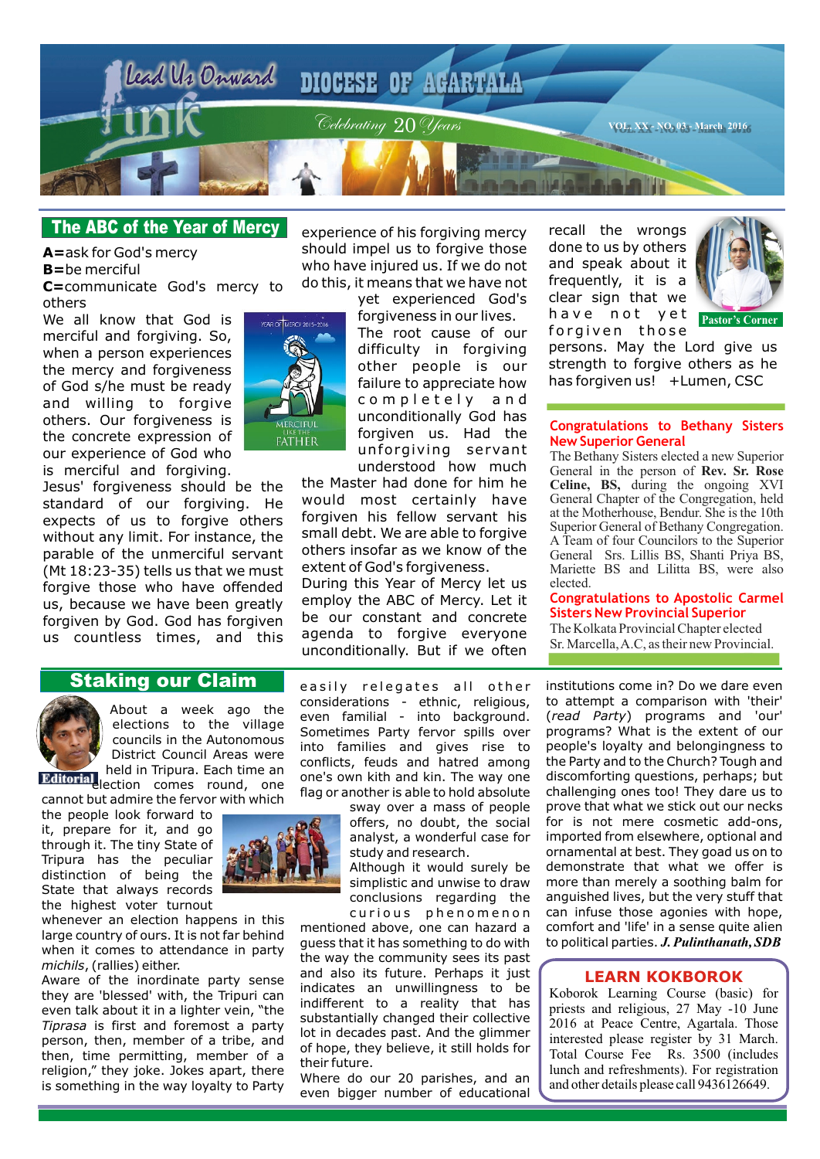

## **The ABC of the Year of Mercy**

**A=**ask for God's mercy **B=**be merciful **C=**communicate God's mercy to

others

We all know that God is merciful and forgiving. So, when a person experiences the mercy and forgiveness of God s/he must be ready and willing to forgive others. Our forgiveness is the concrete expression of our experience of God who is merciful and forgiving.

Jesus' forgiveness should be the standard of our forgiving. He expects of us to forgive others without any limit. For instance, the parable of the unmerciful servant (Mt 18:23-35) tells us that we must forgive those who have offended us, because we have been greatly forgiven by God. God has forgiven us countless times, and this



experience of his forgiving mercy should impel us to forgive those who have injured us. If we do not do this, it means that we have not

yet experienced God's

forgiveness in our lives. The root cause of our difficulty in forgiving other people is our failure to appreciate how completely and unconditionally God has forgiven us. Had the unforgiving servant understood how much

the Master had done for him he would most certainly have forgiven his fellow servant his small debt. We are able to forgive others insofar as we know of the extent of God's forgiveness.

During this Year of Mercy let us employ the ABC of Mercy. Let it be our constant and concrete agenda to forgive everyone unconditionally. But if we often

recall the wrongs done to us by others and speak about it frequently, it is a clear sign that we have not yet forgiven those



persons. May the Lord give us strength to forgive others as he has forgiven us! +Lumen, CSC

#### **Congratulations to Bethany Sisters New Superior General**

The Bethany Sisters elected a new Superior General in the person of **Rev. Sr. Rose Celine, BS,** during the ongoing XVI General Chapter of the Congregation, held at the Motherhouse, Bendur. She is the 10th Superior General of Bethany Congregation. A Team of four Councilors to the Superior General Srs. Lillis BS, Shanti Priya BS, Mariette BS and Lilitta BS, were also elected.

#### **Congratulations to Apostolic Carmel Sisters New Provincial Superior**

The Kolkata Provincial Chapter elected Sr. Marcella, A.C, as their new Provincial.

#### institutions come in? Do we dare even to attempt a comparison with 'their' (*read Party*) programs and 'our' programs? What is the extent of our people's loyalty and belongingness to the Party and to the Church? Tough and discomforting questions, perhaps; but challenging ones too! They dare us to prove that what we stick out our necks for is not mere cosmetic add-ons, imported from elsewhere, optional and ornamental at best. They goad us on to demonstrate that what we offer is more than merely a soothing balm for anguished lives, but the very stuff that can infuse those agonies with hope, comfort and 'life' in a sense quite alien to political parties. *J. Pulinthanath, SDB*

#### **LEARN KOKBOROK**

Koborok Learning Course (basic) for priests and religious, 27 May -10 June 2016 at Peace Centre, Agartala. Those interested please register by 31 March. Total Course Fee Rs. 3500 (includes lunch and refreshments). For registration and other details please call 9436126649.

# **Staking our Claim**



About a week ago the elections to the village councils in the Autonomous District Council Areas were held in Tripura. Each time an

**Editorial** election comes round, one cannot but admire the fervor with which

the people look forward to it, prepare for it, and go through it. The tiny State of Tripura has the peculiar distinction of being the State that always records the highest voter turnout

whenever an election happens in this large country of ours. It is not far behind when it comes to attendance in party *michils*, (rallies) either.

Aware of the inordinate party sense they are 'blessed' with, the Tripuri can even talk about it in a lighter vein, "the *Tiprasa* is first and foremost a party person, then, member of a tribe, and then, time permitting, member of a religion," they joke. Jokes apart, there is something in the way loyalty to Party



easily relegates all other considerations - ethnic, religious, even familial - into background. Sometimes Party fervor spills over into families and gives rise to conflicts, feuds and hatred among one's own kith and kin. The way one flag or another is able to hold absolute

sway over a mass of people offers, no doubt, the social analyst, a wonderful case for study and research.

Although it would surely be simplistic and unwise to draw conclusions regarding the curious phenomenon

mentioned above, one can hazard a guess that it has something to do with the way the community sees its past and also its future. Perhaps it just indicates an unwillingness to be indifferent to a reality that has substantially changed their collective lot in decades past. And the glimmer of hope, they believe, it still holds for their future.

Where do our 20 parishes, and an even bigger number of educational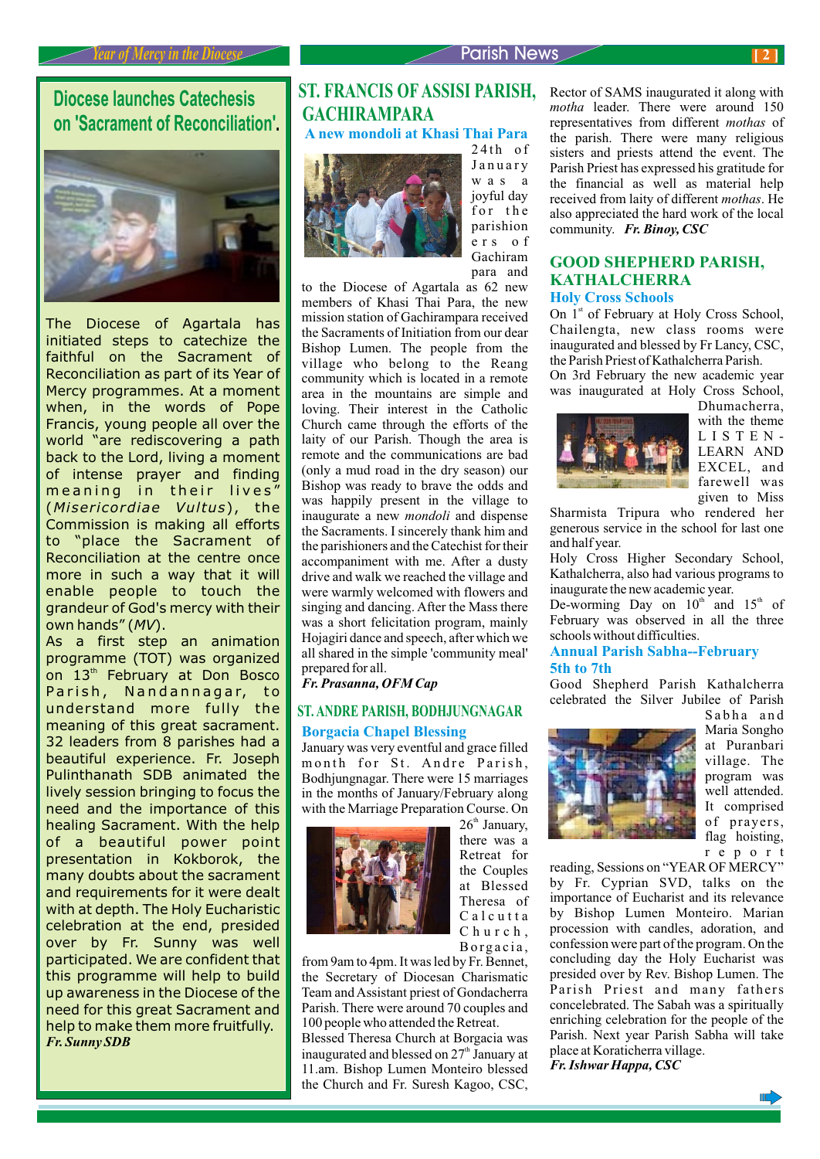**Diocese launches Catechesis on 'Sacrament of Reconciliation'.**



The Diocese of Agartala has initiated steps to catechize the faithful on the Sacrament of Reconciliation as part of its Year of Mercy programmes. At a moment when, in the words of Pope Francis, young people all over the world "are rediscovering a path back to the Lord, living a moment of intense prayer and finding meaning in their lives" (*Misericordiae Vultus*), the Commission is making all efforts to "place the Sacrament of Reconciliation at the centre once more in such a way that it will enable people to touch the grandeur of God's mercy with their own hands" (*MV*).

As a first step an animation programme (TOT) was organized on 13<sup>th</sup> February at Don Bosco Parish, Nandannagar, to understand more fully the meaning of this great sacrament. 32 leaders from 8 parishes had a beautiful experience. Fr. Joseph Pulinthanath SDB animated the lively session bringing to focus the need and the importance of this healing Sacrament. With the help of a beautiful power point presentation in Kokborok, the many doubts about the sacrament and requirements for it were dealt with at depth. The Holy Eucharistic celebration at the end, presided over by Fr. Sunny was well participated. We are confident that this programme will help to build up awareness in the Diocese of the need for this great Sacrament and help to make them more fruitfully. *Fr. Sunny SDB*

# **ST. FRANCIS OF ASSISI PARISH, GACHIRAMPARA**

**A new mondoli at Khasi Thai Para**



24th of January was a joyful day for the parishion ers of Gachiram para and

to the Diocese of Agartala as 62 new members of Khasi Thai Para, the new mission station of Gachirampara received the Sacraments of Initiation from our dear Bishop Lumen. The people from the village who belong to the Reang community which is located in a remote area in the mountains are simple and loving. Their interest in the Catholic Church came through the efforts of the laity of our Parish. Though the area is remote and the communications are bad (only a mud road in the dry season) our Bishop was ready to brave the odds and was happily present in the village to inaugurate a new *mondoli* and dispense the Sacraments. I sincerely thank him and the parishioners and the Catechist for their accompaniment with me. After a dusty drive and walk we reached the village and were warmly welcomed with flowers and singing and dancing. After the Mass there was a short felicitation program, mainly Hojagiri dance and speech, after which we all shared in the simple 'community meal' prepared for all.

*Fr. Prasanna, OFM Cap*

#### **Borgacia Chapel Blessing ST. ANDRE PARISH, BODHJUNGNAGAR**

January was very eventful and grace filled month for St. Andre Parish, Bodhjungnagar. There were 15 marriages in the months of January/February along



 $26<sup>th</sup>$  January, there was a Retreat for the Couples at Blessed Theresa of Calcutta Church. Borgacia,

from 9am to 4pm. It was led by Fr. Bennet, the Secretary of Diocesan Charismatic Team and Assistant priest of Gondacherra Parish. There were around 70 couples and 100 people who attended the Retreat.

Blessed Theresa Church at Borgacia was inaugurated and blessed on  $27<sup>th</sup>$  January at 11.am. Bishop Lumen Monteiro blessed the Church and Fr. Suresh Kagoo, CSC, Rector of SAMS inaugurated it along with *motha* leader. There were around 150 representatives from different *mothas* of the parish. There were many religious sisters and priests attend the event. The Parish Priest has expressed his gratitude for the financial as well as material help received from laity of different *mothas*. He also appreciated the hard work of the local community. *Fr. Binoy, CSC*

#### **GOOD SHEPHERD PARISH, KATHALCHERRA Holy Cross Schools**

On 1<sup>st</sup> of February at Holy Cross School, Chailengta, new class rooms were inaugurated and blessed by Fr Lancy, CSC, the Parish Priest of Kathalcherra Parish.

On 3rd February the new academic year was inaugurated at Holy Cross School,



Dhumacherra, with the theme LISTEN-LEARN AND EXCEL, and farewell was given to Miss

Sharmista Tripura who rendered her generous service in the school for last one and half year.

Holy Cross Higher Secondary School, Kathalcherra, also had various programs to inaugurate the new academic year.

De-worming Day on  $10<sup>th</sup>$  and  $15<sup>th</sup>$  of February was observed in all the three schools without difficulties.

#### **Annual Parish Sabha--February 5th to 7th**

Good Shepherd Parish Kathalcherra celebrated the Silver Jubilee of Parish



Sabha and Maria Songho at Puranbari village. The program was well attended. It comprised of prayers, flag hoisting, report

reading, Sessions on "YEAR OF MERCY" by Fr. Cyprian SVD, talks on the importance of Eucharist and its relevance by Bishop Lumen Monteiro. Marian procession with candles, adoration, and confession were part of the program. On the concluding day the Holy Eucharist was presided over by Rev. Bishop Lumen. The Parish Priest and many fathers concelebrated. The Sabah was a spiritually enriching celebration for the people of the Parish. Next year Parish Sabha will take place at Koraticherra village. *Fr. Ishwar Happa, CSC*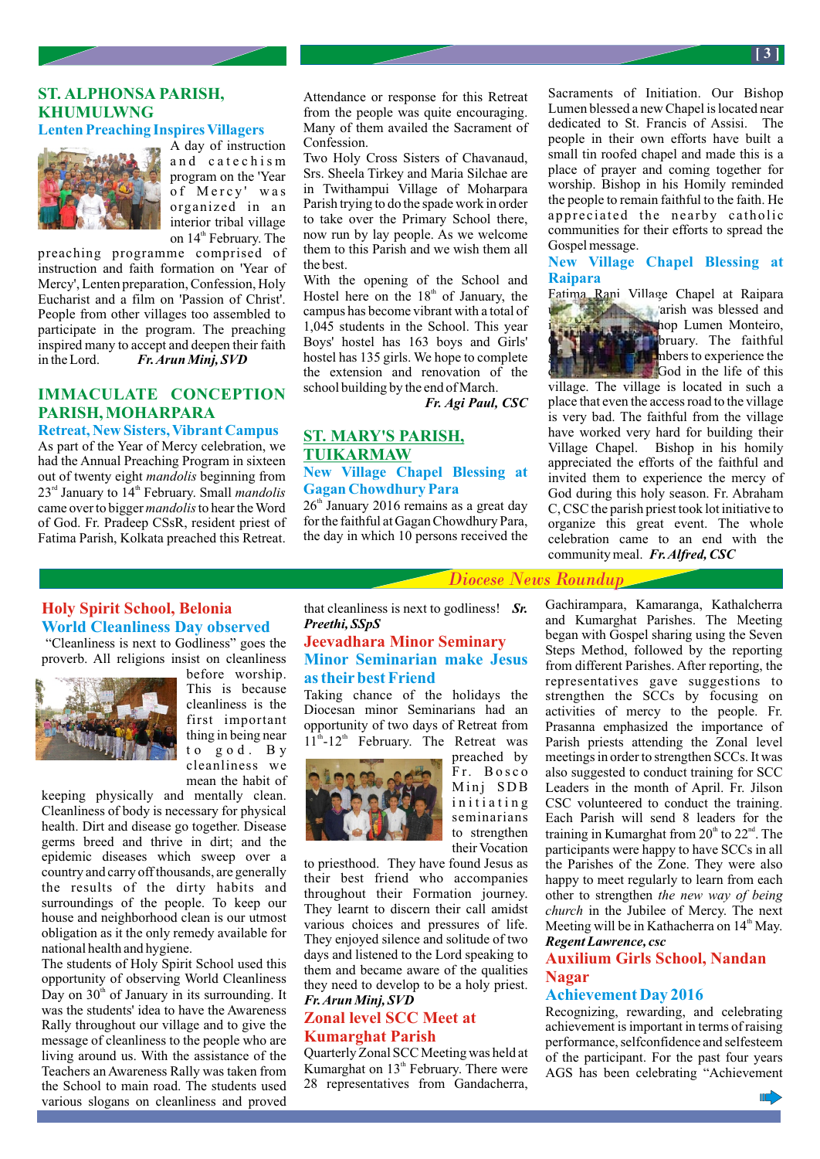## **ST. ALPHONSA PARISH, KHUMULWNG**

## **Lenten Preaching Inspires Villagers**



A day of instruction and catechism program on the 'Year of Mercy' was organized in an interior tribal village on 14<sup>th</sup> February. The

preaching programme comprised of instruction and faith formation on 'Year of Mercy', Lenten preparation, Confession, Holy Eucharist and a film on 'Passion of Christ'. People from other villages too assembled to participate in the program. The preaching inspired many to accept and deepen their faith in the Lord. *Fr. Arun Minj, SVD*

# **IMMACULATE CONCEPTION PARISH, MOHARPARA**

**Retreat, New Sisters, Vibrant Campus** As part of the Year of Mercy celebration, we had the Annual Preaching Program in sixteen out of twenty eight *mandolis* beginning from 23<sup>rd</sup> January to 14<sup>th</sup> February. Small *mandolis* came over to bigger *mandolis* to hear the Word of God. Fr. Pradeep CSsR, resident priest of Fatima Parish, Kolkata preached this Retreat.

Attendance or response for this Retreat from the people was quite encouraging. Many of them availed the Sacrament of Confession.

Two Holy Cross Sisters of Chavanaud, Srs. Sheela Tirkey and Maria Silchae are in Twithampui Village of Moharpara Parish trying to do the spade work in order to take over the Primary School there, now run by lay people. As we welcome them to this Parish and we wish them all the best.

With the opening of the School and Hostel here on the  $18<sup>th</sup>$  of January, the campus has become vibrant with a total of 1,045 students in the School. This year Boys' hostel has 163 boys and Girls' hostel has 135 girls. We hope to complete the extension and renovation of the school building by the end of March.

*Fr. Agi Paul, CSC*

#### **ST. MARY'S PARISH, TUIKARMAW New Village Chapel Blessing at Gagan Chowdhury Para**

 $26<sup>th</sup>$  January 2016 remains as a great day for the faithful at Gagan Chowdhury Para, the day in which 10 persons received the Sacraments of Initiation. Our Bishop Lumen blessed a new Chapel is located near dedicated to St. Francis of Assisi. The people in their own efforts have built a small tin roofed chapel and made this is a place of prayer and coming together for worship. Bishop in his Homily reminded the people to remain faithful to the faith. He appreciated the nearby catholic communities for their efforts to spread the Gospel message.

**New Village Chapel Blessing at Raipara**



divide presence of this dividend of this control of this control of this control of this control of this control of this control of this control of this control of this control of this control of this control of this contr

village. The village is located in such a place that even the access road to the village is very bad. The faithful from the village have worked very hard for building their Village Chapel. Bishop in his homily appreciated the efforts of the faithful and invited them to experience the mercy of God during this holy season. Fr. Abraham C, CSC the parish priest took lot initiative to organize this great event. The whole celebration came to an end with the community meal. *Fr. Alfred, CSC*

## **Holy Spirit School, Belonia World Cleanliness Day observed**

 "Cleanliness is next to Godliness" goes the proverb. All religions insist on cleanliness



before worship. This is because cleanliness is the first important thing in being near to god. By cleanliness we mean the habit of

keeping physically and mentally clean. Cleanliness of body is necessary for physical health. Dirt and disease go together. Disease germs breed and thrive in dirt; and the epidemic diseases which sweep over a country and carry off thousands, are generally the results of the dirty habits and surroundings of the people. To keep our house and neighborhood clean is our utmost obligation as it the only remedy available for national health and hygiene.

The students of Holy Spirit School used this opportunity of observing World Cleanliness Day on  $30<sup>th</sup>$  of January in its surrounding. It was the students' idea to have the Awareness Rally throughout our village and to give the message of cleanliness to the people who are living around us. With the assistance of the Teachers an Awareness Rally was taken from the School to main road. The students used various slogans on cleanliness and proved

that cleanliness is next to godliness! *Sr. Preethi, SSpS*

## **Jeevadhara Minor Seminary Minor Seminarian make Jesus as their best Friend**

Taking chance of the holidays the Diocesan minor Seminarians had an opportunity of two days of Retreat from  $11<sup>th</sup>$ -12<sup>th</sup> February. The Retreat was



preached by F r. Bosco Minj SDB initiating seminarians to strengthen their Vocation

to priesthood. They have found Jesus as their best friend who accompanies throughout their Formation journey. They learnt to discern their call amidst various choices and pressures of life. They enjoyed silence and solitude of two days and listened to the Lord speaking to them and became aware of the qualities they need to develop to be a holy priest. *Fr. Arun Minj, SVD*

## **Zonal level SCC Meet at Kumarghat Parish**

Quarterly Zonal SCC Meeting was held at Kumarghat on 13<sup>th</sup> February. There were 28 representatives from Gandacherra,

Gachirampara, Kamaranga, Kathalcherra and Kumarghat Parishes. The Meeting began with Gospel sharing using the Seven Steps Method, followed by the reporting from different Parishes. After reporting, the representatives gave suggestions to strengthen the SCCs by focusing on activities of mercy to the people. Fr. Prasanna emphasized the importance of Parish priests attending the Zonal level meetings in order to strengthen SCCs. It was also suggested to conduct training for SCC Leaders in the month of April. Fr. Jilson CSC volunteered to conduct the training. Each Parish will send 8 leaders for the training in Kumarghat from  $20<sup>th</sup>$  to  $22<sup>nd</sup>$ . The participants were happy to have SCCs in all the Parishes of the Zone. They were also happy to meet regularly to learn from each other to strengthen *the new way of being church* in the Jubilee of Mercy. The next Meeting will be in Kathacherra on  $14<sup>th</sup>$  May. *Regent Lawrence, csc*

## **Auxilium Girls School, Nandan Nagar**

#### **Achievement Day 2016**

Recognizing, rewarding, and celebrating achievement is important in terms of raising performance, selfconfidence and selfesteem of the participant. For the past four years AGS has been celebrating "Achievement

**[ 3 ]**

*Diocese News Roundup*